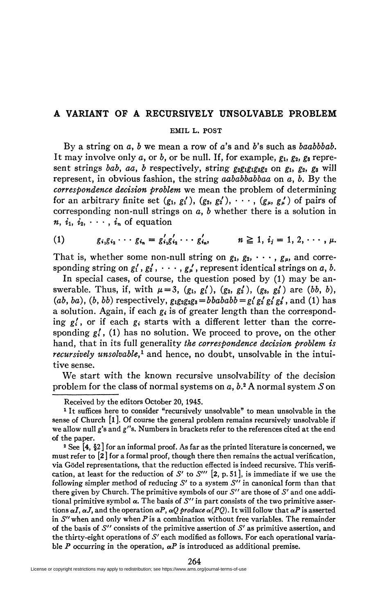## **A VARIANT OF A RECURSIVELY UNSOLVABLE PROBLEM**

## **EMIL L. POST**

By a string on a, b we mean a row of a's and b's such as *baabbbab*. It may involve only *a,* or 6, or be null. If, for example, gi, *g2, gz* represent strings *baby aa, b* respectively, string *g2gigigzg2 on* gi, *g2, gz* will represent, in obvious fashion, the string *aababbabbaa* on *a,* 6. By the *correspondence decision problem* we mean the problem of determining for an arbitrary finite set  $(g_1, g'_1)$ ,  $(g_2, g'_2)$ ,  $\cdots$ ,  $(g_{\mu}, g_{\mu}')$  of pairs of corresponding non-null strings on a, *b* whether there is a solution in  $n, i_1, i_2, \cdots, i_n$  of equation

(1) 
$$
g_{i_1}g_{i_2}\cdots g_{i_n} = g'_{i_1}g'_{i_2}\cdots g'_{i_n}, \qquad n \ge 1, i_j = 1, 2, \cdots, \mu.
$$

That is, whether some non-null string on  $g_1, g_2, \dots, g_\mu$ , and corresponding string on  $g'_1$ ,  $g'_2$ ,  $\cdots$ ,  $g'_n$ , represent identical strings on a, b.

In special cases, of course, the question posed by (1) may be answerable. Thus, if, with  $\mu=3$ , (g<sub>1</sub>, g<sub>1</sub>'), (g<sub>2</sub>, g<sub>2</sub>'), (g<sub>3</sub>, g<sub>3</sub>') are (bb, b), (*ab*, *ba*), (*b*, *bb*) respectively,  $g_1g_2g_2g_3 = bbababb = g'_1 g'_2 g'_2 g'_3$ , and (1) has a solution. Again, if each  $g_i$  is of greater length than the corresponding g/, or if each *gi* starts with a different letter than the corresponding *gi* , (1) has no solution. We proceed to prove, on the other hand, that in its full generality *the correspondence decision problem is recursively unsolvable,<sup>1</sup>* and hence, no doubt, unsolvable in the intuitive sense.

We start with the known recursive unsolvability of the decision problem for the class of normal systems on a, 6.<sup>2</sup> A normal system *S* on

Received by the editors October 20, 1945.

<sup>&</sup>lt;sup>1</sup> It suffices here to consider "recursively unsolvable" to mean unsolvable in the sense of Church  $\left[1\right]$ . Of course the general problem remains recursively unsolvable if we allow null g's and *g"s.* Numbers in brackets refer to the references cited at the end of the paper.

<sup>2</sup> See [4, §2 ] for an informal proof. As far as the printed literature is concerned, we must refer to [2] for a formal proof, though there then remains the actual verification, via Gödel representations, that the reduction effected is indeed recursive. This verification, at least for the reduction of *S'* to *S'"* [2, p.Si], is immediate if we use the following simpler method of reducing *S'* to a system *S"* in canonical form than that there given by Church. The primitive symbols of our *S"* are those of *S'* and one additional primitive symbol a. The basis of *S"* in part consists of the two primitive assertions  $\alpha I$ ,  $\alpha J$ , and the operation  $\alpha P$ ,  $\alpha Q$  produce  $\alpha (PQ)$ . It will follow that  $\alpha P$  is asserted in *S"* when and only when *P* is a combination without free variables. The remainder of the basis of 5 " consists of the primitive assertion of *S'* as primitive assertion, and the thirty-eight operations of *S'* each modified as follows. For each operational variable *P* occurring in the operation,  $\alpha P$  is introduced as additional premise.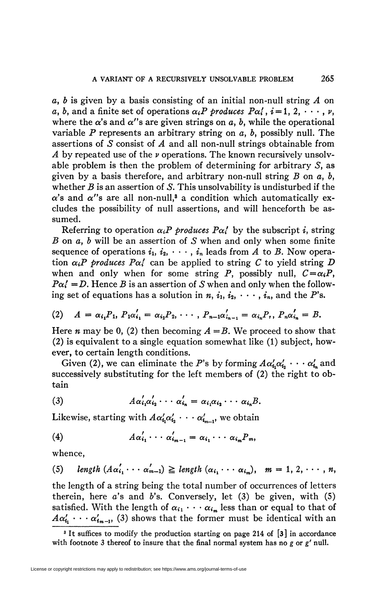*a, b* is given by a basis consisting of an initial non-null string *A* on a, b, and a finite set of operations  $\alpha_i P$  produces  $P\alpha'_i$ ,  $i = 1, 2, \dots, \nu$ , where the  $\alpha$ 's and  $\alpha$ ''s are given strings on a, b, while the operational variable P represents an arbitrary string on  $a$ ,  $b$ , possibly null. The assertions of *S* consist of *A* and all non-null strings obtainable from *A* by repeated use of the *v* operations. The known recursively unsolvable problem is then the problem of determining for arbitrary S, as given by a basis therefore, and arbitrary non-null string *B* on a, *b,*  whether *B* is an assertion of *S.* This unsolvability is undisturbed if the  $\alpha$ 's and  $\alpha$ <sup>"</sup>s are all non-null,<sup>8</sup> a condition which automatically excludes the possibility of null assertions, and will henceforth be assumed.

Referring to operation  $\alpha_i P$  *produces*  $P\alpha'_i$  by the subscript *i*, string *B* on a, *b* will be an assertion of *S* when and only when some finite sequence of operations  $i_1, i_2, \cdots, i_n$  leads from A to B. Now operation  $\alpha_i P$  produces  $P\alpha'_i$  can be applied to string C to yield string D when and only when for some string P, possibly null,  $C = \alpha_i P$ ,  $P\alpha' = D$ . Hence *B* is an assertion of *S* when and only when the following set of equations has a solution in  $n, i_1, i_2, \cdots, i_n$ , and the P's.

(2) 
$$
A = \alpha_{i_1} P_1, P_1 \alpha'_{i_1} = \alpha_{i_2} P_2, \cdots, P_{n-1} \alpha'_{i_{n-1}} = \alpha_{i_n} P_r, P_n \alpha'_{i_n} = B.
$$

Here *n* may be 0, (2) then becoming  $A = B$ . We proceed to show that (2) is equivalent to a single equation somewhat like (1) subject, however, to certain length conditions.

Given (2), we can eliminate the P's by forming  $A\alpha'_{i_1}\alpha'_{i_2}\cdots \alpha'_{i_n}$  and successively substituting for the left members of (2) the right to obtain

(3) 
$$
A\alpha'_{i_1}\alpha'_{i_2}\cdots\alpha'_{i_n}=\alpha_{i_1}\alpha_{i_2}\cdots\alpha_{i_n}B.
$$

Likewise, starting with  $A\alpha'_{i_1}\alpha'_{i_2}\cdots\alpha'_{i_{m-1}}$ , we obtain

$$
(4) \qquad A\alpha'_{i_1}\cdots\alpha'_{i_{m-1}}=\alpha_{i_1}\cdots\alpha_{i_m}P_m,
$$

whence,

(5)  $length (A\alpha'_{i_1}\cdots \alpha'_{m-1}) \geq length (\alpha_{i_1}\cdots \alpha_{i_m}), \quad m = 1, 2, \cdots, n,$ 

the length of a string being the total number of occurrences of letters therein, here *a's* and *b's.* Conversely, let (3) be given, with (5) satisfied. With the length of  $\alpha_{i_1} \cdot \cdot \cdot \alpha_{i_m}$  less than or equal to that of  $A\alpha'_{i_1}\cdots\alpha'_{i_{m-1}}$ , (3) shows that the former must be identical with an

<sup>&</sup>lt;sup>3</sup> It suffices to modify the production starting on page 214 of [3] in accordance with footnote 3 thereof to insure that the final normal system has no *g* or *g'* null.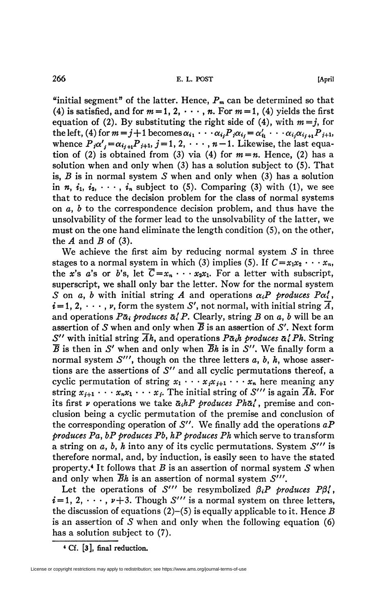"initial segment" of the latter. Hence,  $P_m$  can be determined so that (4) is satisfied, and for  $m = 1, 2, \dots, n$ . For  $m = 1$ , (4) yields the first equation of (2). By substituting the right side of (4), with  $m = j$ , for the left, (4) for  $m = j + 1$  becomes  $\alpha_{i_1} \cdots \alpha_{i_j} P_j \alpha_{i_j} = \alpha'_{i_1} \cdots \alpha_{i_j} \alpha_{i_{j+1}} P_{j+1}$ , whence  $P_i\alpha'_{i} = \alpha_{i_{i+1}}P_{i+1}, j=1, 2, \cdots, n-1$ . Likewise, the last equation of (2) is obtained from (3) via (4) for  $m = n$ . Hence, (2) has a solution when and only when (3) has a solution subject to (5). That is, *B* is in normal system *S* when and only when (3) has a solution in *n*,  $i_1$ ,  $i_2$ ,  $\cdots$ ,  $i_n$  subject to (5). Comparing (3) with (1), we see that to reduce the decision problem for the class of normal systems on a, *b* to the correspondence decision problem, and thus have the unsolvability of the former lead to the unsolvability of the latter, we must on the one hand eliminate the length condition (5), on the other, the *A* and *B* of (3).

We achieve the first aim by reducing normal system  $S$  in three stages to a normal system in which (3) implies (5). If  $C = x_1 x_2 \cdots x_n$ , the *x*'s *a*'s or *b*'s, let  $\overline{C} = x_n \cdots x_2 x_1$ . For a letter with subscript, superscript, we shall only bar the letter. Now for the normal system *S* on *a*, *b* with initial string *A* and operations  $\alpha_i P$  produces  $P\alpha'_i$ ,  $i = 1, 2, \dots$ ,  $\nu$ , form the system S', not normal, with initial string  $\overline{A}$ , and operations  $P\bar{\alpha}_i$  produces  $\bar{\alpha}_i' P$ . Clearly, string B on a, b will be an assertion of  $S$  when and only when  $\overline{B}$  is an assertion of  $S'$ . Next form *S''* with initial string  $\overline{Ah}$ , and operations  $P\overline{\alpha_i}h$  produces  $\overline{\alpha_i'}Ph$ . String  $\overline{B}$  is then in S' when and only when  $\overline{B}h$  is in S''. We finally form a normal system  $S^{\prime\prime\prime}$ , though on the three letters  $a, b, h$ , whose assertions are the assertions of *S"* and all cyclic permutations thereof, a cyclic permutation of string  $x_1 \cdots x_j x_{j+1} \cdots x_n$  here meaning any string  $x_{i+1} \cdots x_n x_1 \cdots x_j$ . The initial string of *S'''* is again  $\overline{A}h$ . For its first *v* operations we take  $\bar{\alpha}_i hP$  *produces Ph* $\bar{\alpha}'$ , premise and conclusion being a cyclic permutation of the premise and conclusion of the corresponding operation of *S".* We finally add the operations *aP produces Pa, bP produces Pb} hP produces Ph* which serve to transform a string on a, &, *h* into any of its cyclic permutations. System *S'"* is therefore normal, and, by induction, is easily seen to have the stated property.<sup>4</sup> It follows that *B* is an assertion of normal system *S* when and only when *Bh* is an assertion of normal system *S'".* 

Let the operations of S''' be resymbolized  $\beta_i P$  *produces*  $P\beta'_i$ ,  $i = 1, 2, \dots, \nu+3$ . Though S''' is a normal system on three letters, the discussion of equations (2)-(5) is equally applicable to it. Hence *B*  is an assertion of *S* when and only when the following equation (6) has a solution subject to (7).

**4 Cf. [3], final reduction.**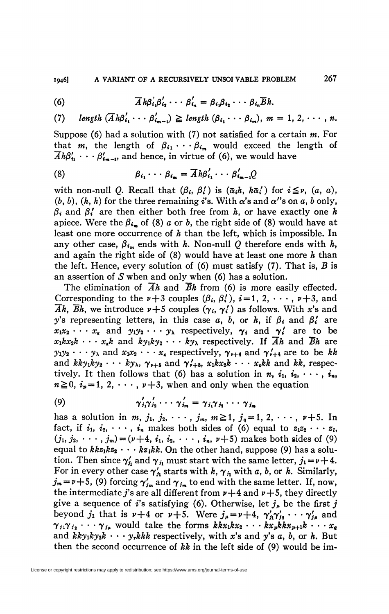(6) 
$$
\overline{A} h \beta'_{i_1} \beta'_{i_2} \cdots \beta'_{i_n} = \beta_{i_1} \beta_{i_2} \cdots \beta_{i_n} \overline{B} h.
$$

(7)  $\text{length } (\overline{A} \cdot \beta'_i, \cdots \beta'_{i-1}) \geq \text{length } (\beta_i, \cdots \beta_{i-}), m = 1, 2, \cdots, n.$ 

Suppose (6) had a solution with (7) not satisfied for a certain  $m$ . For that *m*, the length of  $\beta_{i_1} \cdots \beta_{i_m}$  would exceed the length of  $\overline{A}h\beta'_{\mathbf{1}}\cdots\beta'_{\mathbf{6}_{m-1}}$ , and hence, in virtue of (6), we would have

(8) 
$$
\beta_{i_1} \cdots \beta_{i_m} = \overline{A} h \beta'_{i_1} \cdots \beta'_{i_{m-1}} Q
$$

with non-null Q. Recall that  $(\beta_i, \beta'_i)$  is  $(\alpha_i, h, h\alpha'_i)$  for  $i \leq \nu$ ,  $(a, a)$ ,  $(b, b)$ ,  $(h, h)$  for the three remaining i's. With  $\alpha$ 's and  $\alpha$ 's on a, b only,  $\beta_i$  and  $\beta'_i$  are then either both free from *h*, or have exactly one *h* apiece. Were the  $\beta_{i_m}$  of (8) a or b, the right side of (8) would have at least one more occurrence of *h* than the left, which is impossible. In any other case,  $\beta_{i_m}$  ends with *h*. Non-null *Q* therefore ends with *h*, and again the right side of (8) would have at least one more *h* than the left. Hence, every solution of (6) must satisfy (7). That is, *B* is an assertion of *S* when and only when (6) has a solution.

The elimination of  $\overline{A}h$  and  $\overline{B}h$  from (6) is more easily effected. Corresponding to the  $\nu+3$  couples  $(\beta_i, \beta'_i)$ ,  $i=1, 2, \dots, \nu+3$ , and  $\overline{Ah}$ ,  $\overline{B}h$ , we introduce  $\nu+5$  couples  $(\gamma_i, \gamma'_i)$  as follows. With x's and *y*'s representing letters, in this case a, b, or h, if  $\beta_i$  and  $\beta'_i$  are  $x_1x_2 \cdots x_k$  and  $y_1y_2 \cdots y_k$  respectively,  $\gamma_i$  and  $\gamma'_i$  are to be  $x_1 k x_2 k \cdots x_k k$  and  $k y_1 k y_2 \cdots k y_k$  respectively. If  $\overline{A}h$  and  $\overline{B}h$  are  $y_1y_2 \cdots y_\lambda$  and  $x_1x_2 \cdots x_k$  respectively,  $\gamma_{r+4}$  and  $\gamma'_{r+4}$  are to be kk and  $kky_1ky_2 \cdots ky_\lambda$ ,  $\gamma_{\nu+5}$  and  $\gamma_{\nu+5}$ ,  $x_1kx_2k \cdots x_kkk$  and kk, respectively. It then follows that (6) has a solution in *n*,  $i_1$ ,  $i_2$ ,  $\cdots$ ,  $i_n$ ,  $n \ge 0$ ,  $i_p = 1$ , 2,  $\cdots$ ,  $p+3$ , when and only when the equation

$$
\gamma'_{j_1}\gamma'_{j_2}\cdots\gamma'_{j_m}=\gamma_{j_1}\gamma_{j_2}\cdots\gamma_{j_m}
$$

has a solution in  $m, j_1, j_2, \cdots, j_m, m \ge 1, j_q = 1, 2, \cdots, \nu+5$ . In fact, if  $i_1$ ,  $i_2$ ,  $\dots$ ,  $i_n$  makes both sides of (6) equal to  $z_1z_2 \cdots z_l$ ,  $(j_1, j_2, \dots, j_m) = (\nu+4, i_1, i_2, \dots, i_n, \nu+5)$  makes both sides of (9) equal to  $kkz_1kz_2 \cdots kz_{1}kk$ . On the other hand, suppose (9) has a solution. Then since  $\gamma'_h$  and  $\gamma_i$  must start with the same letter,  $j_1 = \nu + 4$ . For in every other case  $\gamma'_h$  starts with  $k$ ,  $\gamma_i$  with  $a$ ,  $b$ , or  $h$ . Similarly,  $j_m = \nu + 5$ , (9) forcing  $\gamma'_{j_m}$  and  $\gamma_{j_m}$  to end with the same letter. If, now, the intermediate j's are all different from  $\nu+4$  and  $\nu+5$ , they directly give a sequence of i's satisfying (6). Otherwise, let  $j_{\mu}$  be the first j beyond  $j_1$  that is  $\nu+4$  or  $\nu+5$ . Were  $j_{\mu} = \nu+4$ ,  $\gamma'_{i1}\gamma'_{j2} \cdots \gamma'_{j\mu}$  and  $\gamma_{i1}\gamma_{i2}\cdots\gamma_{i\mu}$  would take the forms  $kkx_1kx_2\cdots kx_pkkx_{p+1}k\cdots x_q$ and  $kky_1ky_2k \cdots y_rkk$  respectively, with x's and y's a, b, or h. But then the second occurrence of *kk* in the left side of (9) would be im